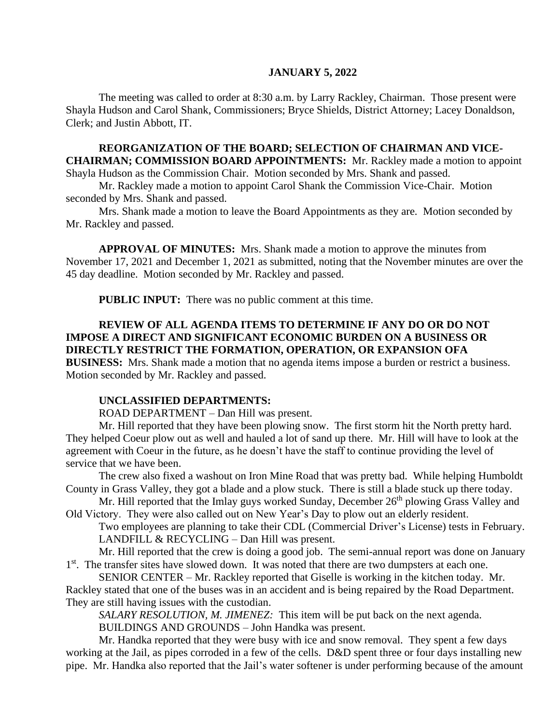#### **JANUARY 5, 2022**

The meeting was called to order at 8:30 a.m. by Larry Rackley, Chairman. Those present were Shayla Hudson and Carol Shank, Commissioners; Bryce Shields, District Attorney; Lacey Donaldson, Clerk; and Justin Abbott, IT.

# **REORGANIZATION OF THE BOARD; SELECTION OF CHAIRMAN AND VICE-CHAIRMAN; COMMISSION BOARD APPOINTMENTS:** Mr. Rackley made a motion to appoint

Shayla Hudson as the Commission Chair. Motion seconded by Mrs. Shank and passed. Mr. Rackley made a motion to appoint Carol Shank the Commission Vice-Chair. Motion

seconded by Mrs. Shank and passed.

Mrs. Shank made a motion to leave the Board Appointments as they are. Motion seconded by Mr. Rackley and passed.

**APPROVAL OF MINUTES:** Mrs. Shank made a motion to approve the minutes from November 17, 2021 and December 1, 2021 as submitted, noting that the November minutes are over the 45 day deadline. Motion seconded by Mr. Rackley and passed.

**PUBLIC INPUT:** There was no public comment at this time.

### **REVIEW OF ALL AGENDA ITEMS TO DETERMINE IF ANY DO OR DO NOT IMPOSE A DIRECT AND SIGNIFICANT ECONOMIC BURDEN ON A BUSINESS OR DIRECTLY RESTRICT THE FORMATION, OPERATION, OR EXPANSION OFA BUSINESS:** Mrs. Shank made a motion that no agenda items impose a burden or restrict a business. Motion seconded by Mr. Rackley and passed.

#### **UNCLASSIFIED DEPARTMENTS:**

ROAD DEPARTMENT – Dan Hill was present.

Mr. Hill reported that they have been plowing snow. The first storm hit the North pretty hard. They helped Coeur plow out as well and hauled a lot of sand up there. Mr. Hill will have to look at the agreement with Coeur in the future, as he doesn't have the staff to continue providing the level of service that we have been.

The crew also fixed a washout on Iron Mine Road that was pretty bad. While helping Humboldt County in Grass Valley, they got a blade and a plow stuck. There is still a blade stuck up there today.

Mr. Hill reported that the Imlay guys worked Sunday, December 26<sup>th</sup> plowing Grass Valley and Old Victory. They were also called out on New Year's Day to plow out an elderly resident.

Two employees are planning to take their CDL (Commercial Driver's License) tests in February. LANDFILL & RECYCLING – Dan Hill was present.

Mr. Hill reported that the crew is doing a good job. The semi-annual report was done on January 1<sup>st</sup>. The transfer sites have slowed down. It was noted that there are two dumpsters at each one.

SENIOR CENTER – Mr. Rackley reported that Giselle is working in the kitchen today. Mr. Rackley stated that one of the buses was in an accident and is being repaired by the Road Department. They are still having issues with the custodian.

*SALARY RESOLUTION, M. JIMENEZ:* This item will be put back on the next agenda.

BUILDINGS AND GROUNDS – John Handka was present.

Mr. Handka reported that they were busy with ice and snow removal. They spent a few days working at the Jail, as pipes corroded in a few of the cells. D&D spent three or four days installing new pipe. Mr. Handka also reported that the Jail's water softener is under performing because of the amount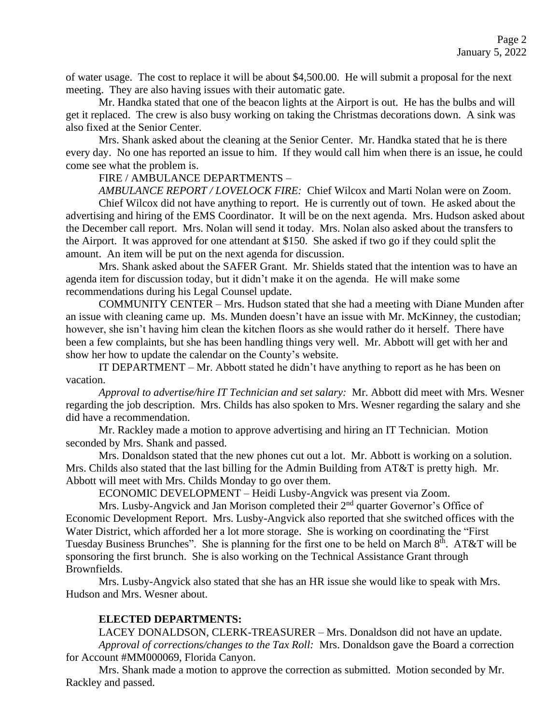of water usage. The cost to replace it will be about \$4,500.00. He will submit a proposal for the next meeting. They are also having issues with their automatic gate.

Mr. Handka stated that one of the beacon lights at the Airport is out. He has the bulbs and will get it replaced. The crew is also busy working on taking the Christmas decorations down. A sink was also fixed at the Senior Center.

Mrs. Shank asked about the cleaning at the Senior Center. Mr. Handka stated that he is there every day. No one has reported an issue to him. If they would call him when there is an issue, he could come see what the problem is.

## FIRE / AMBULANCE DEPARTMENTS –

*AMBULANCE REPORT / LOVELOCK FIRE:* Chief Wilcox and Marti Nolan were on Zoom. Chief Wilcox did not have anything to report. He is currently out of town. He asked about the advertising and hiring of the EMS Coordinator. It will be on the next agenda. Mrs. Hudson asked about the December call report. Mrs. Nolan will send it today. Mrs. Nolan also asked about the transfers to the Airport. It was approved for one attendant at \$150. She asked if two go if they could split the amount. An item will be put on the next agenda for discussion.

Mrs. Shank asked about the SAFER Grant. Mr. Shields stated that the intention was to have an agenda item for discussion today, but it didn't make it on the agenda. He will make some recommendations during his Legal Counsel update.

COMMUNITY CENTER – Mrs. Hudson stated that she had a meeting with Diane Munden after an issue with cleaning came up. Ms. Munden doesn't have an issue with Mr. McKinney, the custodian; however, she isn't having him clean the kitchen floors as she would rather do it herself. There have been a few complaints, but she has been handling things very well. Mr. Abbott will get with her and show her how to update the calendar on the County's website.

IT DEPARTMENT – Mr. Abbott stated he didn't have anything to report as he has been on vacation.

*Approval to advertise/hire IT Technician and set salary:* Mr. Abbott did meet with Mrs. Wesner regarding the job description. Mrs. Childs has also spoken to Mrs. Wesner regarding the salary and she did have a recommendation.

Mr. Rackley made a motion to approve advertising and hiring an IT Technician. Motion seconded by Mrs. Shank and passed.

Mrs. Donaldson stated that the new phones cut out a lot. Mr. Abbott is working on a solution. Mrs. Childs also stated that the last billing for the Admin Building from AT&T is pretty high. Mr. Abbott will meet with Mrs. Childs Monday to go over them.

ECONOMIC DEVELOPMENT – Heidi Lusby-Angvick was present via Zoom.

Mrs. Lusby-Angvick and Jan Morison completed their  $2<sup>nd</sup>$  quarter Governor's Office of Economic Development Report. Mrs. Lusby-Angvick also reported that she switched offices with the Water District, which afforded her a lot more storage. She is working on coordinating the "First Tuesday Business Brunches". She is planning for the first one to be held on March 8<sup>th</sup>. AT&T will be sponsoring the first brunch. She is also working on the Technical Assistance Grant through Brownfields.

Mrs. Lusby-Angvick also stated that she has an HR issue she would like to speak with Mrs. Hudson and Mrs. Wesner about.

#### **ELECTED DEPARTMENTS:**

LACEY DONALDSON, CLERK-TREASURER – Mrs. Donaldson did not have an update. *Approval of corrections/changes to the Tax Roll:* Mrs. Donaldson gave the Board a correction for Account #MM000069, Florida Canyon.

Mrs. Shank made a motion to approve the correction as submitted. Motion seconded by Mr. Rackley and passed.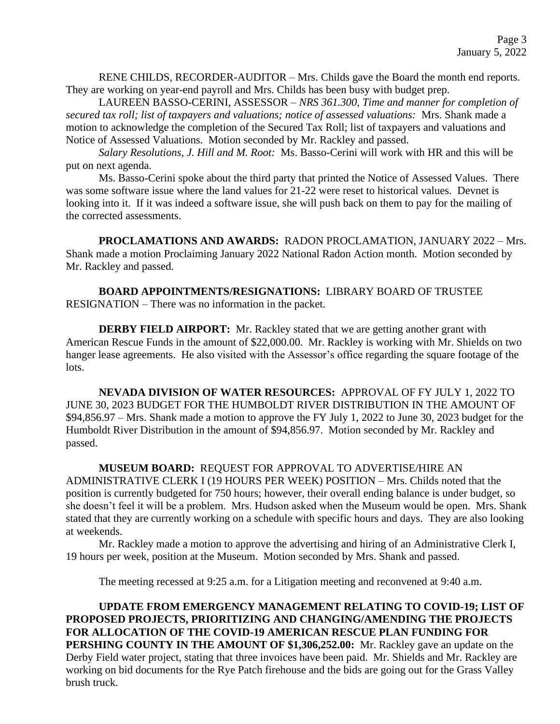RENE CHILDS, RECORDER-AUDITOR – Mrs. Childs gave the Board the month end reports. They are working on year-end payroll and Mrs. Childs has been busy with budget prep.

LAUREEN BASSO-CERINI, ASSESSOR – *NRS 361.300, Time and manner for completion of secured tax roll; list of taxpayers and valuations; notice of assessed valuations:* Mrs. Shank made a motion to acknowledge the completion of the Secured Tax Roll; list of taxpayers and valuations and Notice of Assessed Valuations. Motion seconded by Mr. Rackley and passed.

*Salary Resolutions, J. Hill and M. Root:* Ms. Basso-Cerini will work with HR and this will be put on next agenda.

Ms. Basso-Cerini spoke about the third party that printed the Notice of Assessed Values. There was some software issue where the land values for 21-22 were reset to historical values. Devnet is looking into it. If it was indeed a software issue, she will push back on them to pay for the mailing of the corrected assessments.

**PROCLAMATIONS AND AWARDS:** RADON PROCLAMATION, JANUARY 2022 – Mrs. Shank made a motion Proclaiming January 2022 National Radon Action month. Motion seconded by Mr. Rackley and passed.

**BOARD APPOINTMENTS/RESIGNATIONS:** LIBRARY BOARD OF TRUSTEE RESIGNATION – There was no information in the packet.

**DERBY FIELD AIRPORT:** Mr. Rackley stated that we are getting another grant with American Rescue Funds in the amount of \$22,000.00. Mr. Rackley is working with Mr. Shields on two hanger lease agreements. He also visited with the Assessor's office regarding the square footage of the lots.

**NEVADA DIVISION OF WATER RESOURCES:** APPROVAL OF FY JULY 1, 2022 TO JUNE 30, 2023 BUDGET FOR THE HUMBOLDT RIVER DISTRIBUTION IN THE AMOUNT OF \$94,856.97 – Mrs. Shank made a motion to approve the FY July 1, 2022 to June 30, 2023 budget for the Humboldt River Distribution in the amount of \$94,856.97. Motion seconded by Mr. Rackley and passed.

**MUSEUM BOARD:** REQUEST FOR APPROVAL TO ADVERTISE/HIRE AN ADMINISTRATIVE CLERK I (19 HOURS PER WEEK) POSITION – Mrs. Childs noted that the position is currently budgeted for 750 hours; however, their overall ending balance is under budget, so she doesn't feel it will be a problem. Mrs. Hudson asked when the Museum would be open. Mrs. Shank stated that they are currently working on a schedule with specific hours and days. They are also looking at weekends.

Mr. Rackley made a motion to approve the advertising and hiring of an Administrative Clerk I, 19 hours per week, position at the Museum. Motion seconded by Mrs. Shank and passed.

The meeting recessed at 9:25 a.m. for a Litigation meeting and reconvened at 9:40 a.m.

**UPDATE FROM EMERGENCY MANAGEMENT RELATING TO COVID-19; LIST OF PROPOSED PROJECTS, PRIORITIZING AND CHANGING/AMENDING THE PROJECTS FOR ALLOCATION OF THE COVID-19 AMERICAN RESCUE PLAN FUNDING FOR PERSHING COUNTY IN THE AMOUNT OF \$1,306,252.00:** Mr. Rackley gave an update on the Derby Field water project, stating that three invoices have been paid. Mr. Shields and Mr. Rackley are working on bid documents for the Rye Patch firehouse and the bids are going out for the Grass Valley brush truck.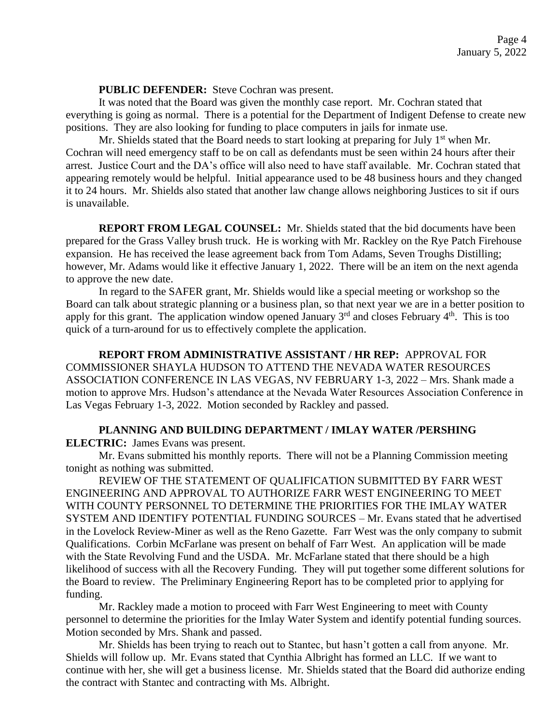**PUBLIC DEFENDER:** Steve Cochran was present.

It was noted that the Board was given the monthly case report. Mr. Cochran stated that everything is going as normal. There is a potential for the Department of Indigent Defense to create new positions. They are also looking for funding to place computers in jails for inmate use.

Mr. Shields stated that the Board needs to start looking at preparing for July  $1<sup>st</sup>$  when Mr. Cochran will need emergency staff to be on call as defendants must be seen within 24 hours after their arrest. Justice Court and the DA's office will also need to have staff available. Mr. Cochran stated that appearing remotely would be helpful. Initial appearance used to be 48 business hours and they changed it to 24 hours. Mr. Shields also stated that another law change allows neighboring Justices to sit if ours is unavailable.

**REPORT FROM LEGAL COUNSEL:** Mr. Shields stated that the bid documents have been prepared for the Grass Valley brush truck. He is working with Mr. Rackley on the Rye Patch Firehouse expansion. He has received the lease agreement back from Tom Adams, Seven Troughs Distilling; however, Mr. Adams would like it effective January 1, 2022. There will be an item on the next agenda to approve the new date.

In regard to the SAFER grant, Mr. Shields would like a special meeting or workshop so the Board can talk about strategic planning or a business plan, so that next year we are in a better position to apply for this grant. The application window opened January  $3<sup>rd</sup>$  and closes February  $4<sup>th</sup>$ . This is too quick of a turn-around for us to effectively complete the application.

**REPORT FROM ADMINISTRATIVE ASSISTANT / HR REP:** APPROVAL FOR COMMISSIONER SHAYLA HUDSON TO ATTEND THE NEVADA WATER RESOURCES ASSOCIATION CONFERENCE IN LAS VEGAS, NV FEBRUARY 1-3, 2022 – Mrs. Shank made a motion to approve Mrs. Hudson's attendance at the Nevada Water Resources Association Conference in Las Vegas February 1-3, 2022. Motion seconded by Rackley and passed.

### **PLANNING AND BUILDING DEPARTMENT / IMLAY WATER /PERSHING**

**ELECTRIC:** James Evans was present.

Mr. Evans submitted his monthly reports. There will not be a Planning Commission meeting tonight as nothing was submitted.

REVIEW OF THE STATEMENT OF QUALIFICATION SUBMITTED BY FARR WEST ENGINEERING AND APPROVAL TO AUTHORIZE FARR WEST ENGINEERING TO MEET WITH COUNTY PERSONNEL TO DETERMINE THE PRIORITIES FOR THE IMLAY WATER SYSTEM AND IDENTIFY POTENTIAL FUNDING SOURCES – Mr. Evans stated that he advertised in the Lovelock Review-Miner as well as the Reno Gazette. Farr West was the only company to submit Qualifications. Corbin McFarlane was present on behalf of Farr West. An application will be made with the State Revolving Fund and the USDA. Mr. McFarlane stated that there should be a high likelihood of success with all the Recovery Funding. They will put together some different solutions for the Board to review. The Preliminary Engineering Report has to be completed prior to applying for funding.

Mr. Rackley made a motion to proceed with Farr West Engineering to meet with County personnel to determine the priorities for the Imlay Water System and identify potential funding sources. Motion seconded by Mrs. Shank and passed.

Mr. Shields has been trying to reach out to Stantec, but hasn't gotten a call from anyone. Mr. Shields will follow up. Mr. Evans stated that Cynthia Albright has formed an LLC. If we want to continue with her, she will get a business license. Mr. Shields stated that the Board did authorize ending the contract with Stantec and contracting with Ms. Albright.